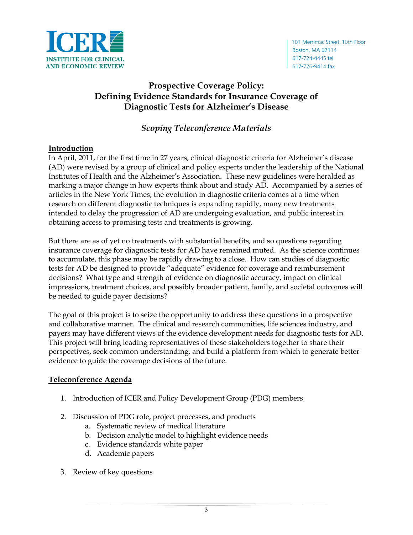

# **Prospective Coverage Policy: Defining Evidence Standards for Insurance Coverage of Diagnostic Tests for Alzheimer's Disease**

## *Scoping Teleconference Materials*

### **Introduction**

In April, 2011, for the first time in 27 years, clinical diagnostic criteria for Alzheimer's disease (AD) were revised by a group of clinical and policy experts under the leadership of the National Institutes of Health and the Alzheimer's Association. These new guidelines were heralded as marking a major change in how experts think about and study AD. Accompanied by a series of articles in the New York Times, the evolution in diagnostic criteria comes at a time when research on different diagnostic techniques is expanding rapidly, many new treatments intended to delay the progression of AD are undergoing evaluation, and public interest in obtaining access to promising tests and treatments is growing.

But there are as of yet no treatments with substantial benefits, and so questions regarding insurance coverage for diagnostic tests for AD have remained muted. As the science continues to accumulate, this phase may be rapidly drawing to a close. How can studies of diagnostic tests for AD be designed to provide "adequate" evidence for coverage and reimbursement decisions? What type and strength of evidence on diagnostic accuracy, impact on clinical impressions, treatment choices, and possibly broader patient, family, and societal outcomes will be needed to guide payer decisions?

The goal of this project is to seize the opportunity to address these questions in a prospective and collaborative manner. The clinical and research communities, life sciences industry, and payers may have different views of the evidence development needs for diagnostic tests for AD. This project will bring leading representatives of these stakeholders together to share their perspectives, seek common understanding, and build a platform from which to generate better evidence to guide the coverage decisions of the future.

### **Teleconference Agenda**

- 1. Introduction of ICER and Policy Development Group (PDG) members
- 2. Discussion of PDG role, project processes, and products
	- a. Systematic review of medical literature
	- b. Decision analytic model to highlight evidence needs
	- c. Evidence standards white paper
	- d. Academic papers
- 3. Review of key questions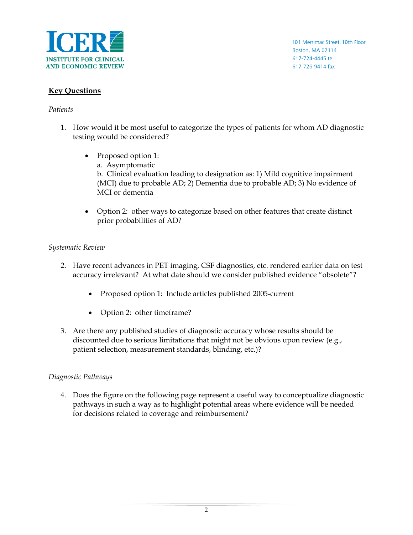

### **Key Questions**

#### *Patients*

- 1. How would it be most useful to categorize the types of patients for whom AD diagnostic testing would be considered?
	- Proposed option 1:
		- a. Asymptomatic

b. Clinical evaluation leading to designation as: 1) Mild cognitive impairment (MCI) due to probable AD; 2) Dementia due to probable AD; 3) No evidence of MCI or dementia

• Option 2: other ways to categorize based on other features that create distinct prior probabilities of AD?

#### *Systematic Review*

- 2. Have recent advances in PET imaging, CSF diagnostics, etc. rendered earlier data on test accuracy irrelevant? At what date should we consider published evidence "obsolete"?
	- Proposed option 1: Include articles published 2005-current
	- Option 2: other timeframe?
- 3. Are there any published studies of diagnostic accuracy whose results should be discounted due to serious limitations that might not be obvious upon review (e.g., patient selection, measurement standards, blinding, etc.)?

#### *Diagnostic Pathways*

4. Does the figure on the following page represent a useful way to conceptualize diagnostic pathways in such a way as to highlight potential areas where evidence will be needed for decisions related to coverage and reimbursement?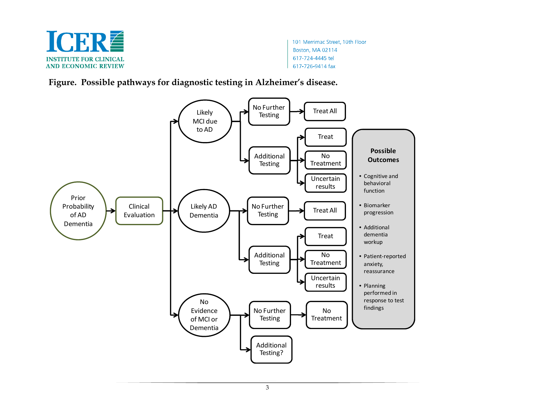

101 Merrimac Street, 10th Floor Boston, MA 02114 617-724-4445 tel 617-726-9414 fax

**Figure. Possible pathways for diagnostic testing in Alzheimer's disease.**